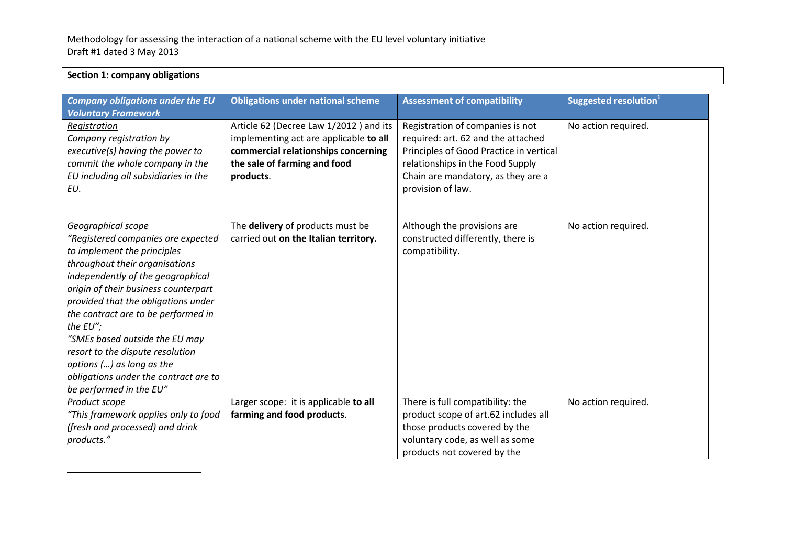| <b>Company obligations under the EU</b><br><b>Voluntary Framework</b>                                                                                                                                                                                                                                                                                                                                                                                                   | <b>Obligations under national scheme</b>                                                                                                                             | <b>Assessment of compatibility</b>                                                                                                                                                                               | Suggested resolution <sup>1</sup> |
|-------------------------------------------------------------------------------------------------------------------------------------------------------------------------------------------------------------------------------------------------------------------------------------------------------------------------------------------------------------------------------------------------------------------------------------------------------------------------|----------------------------------------------------------------------------------------------------------------------------------------------------------------------|------------------------------------------------------------------------------------------------------------------------------------------------------------------------------------------------------------------|-----------------------------------|
| Registration<br>Company registration by<br>executive(s) having the power to<br>commit the whole company in the<br>EU including all subsidiaries in the<br>EU.                                                                                                                                                                                                                                                                                                           | Article 62 (Decree Law 1/2012) and its<br>implementing act are applicable to all<br>commercial relationships concerning<br>the sale of farming and food<br>products. | Registration of companies is not<br>required: art. 62 and the attached<br>Principles of Good Practice in vertical<br>relationships in the Food Supply<br>Chain are mandatory, as they are a<br>provision of law. | No action required.               |
| Geographical scope<br>"Registered companies are expected<br>to implement the principles<br>throughout their organisations<br>independently of the geographical<br>origin of their business counterpart<br>provided that the obligations under<br>the contract are to be performed in<br>the EU";<br>"SMEs based outside the EU may<br>resort to the dispute resolution<br>options () as long as the<br>obligations under the contract are to<br>be performed in the EU" | The delivery of products must be<br>carried out on the Italian territory.                                                                                            | Although the provisions are<br>constructed differently, there is<br>compatibility.                                                                                                                               | No action required.               |
| Product scope<br>"This framework applies only to food<br>(fresh and processed) and drink<br>products."                                                                                                                                                                                                                                                                                                                                                                  | Larger scope: it is applicable to all<br>farming and food products.                                                                                                  | There is full compatibility: the<br>product scope of art.62 includes all<br>those products covered by the<br>voluntary code, as well as some<br>products not covered by the                                      | No action required.               |

## **Section 1: company obligations**

 $\overline{\phantom{a}}$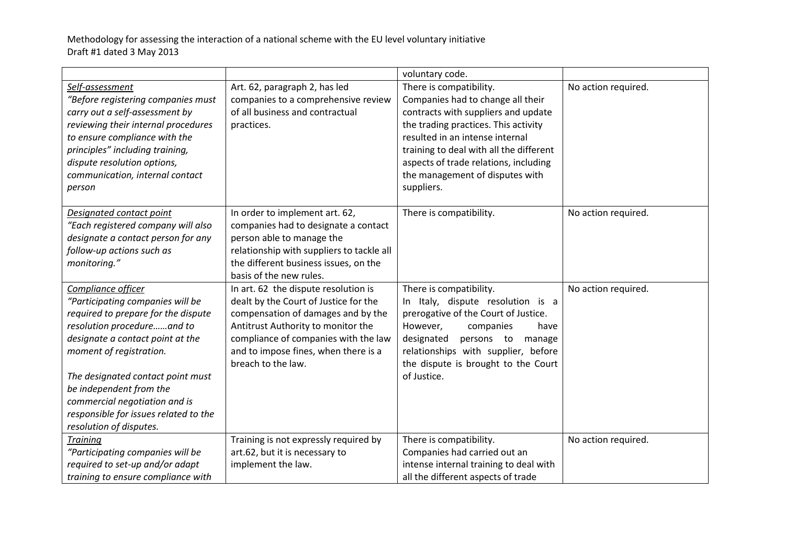|                                       |                                           | voluntary code.                         |                     |
|---------------------------------------|-------------------------------------------|-----------------------------------------|---------------------|
| Self-assessment                       | Art. 62, paragraph 2, has led             | There is compatibility.                 | No action required. |
| "Before registering companies must    | companies to a comprehensive review       | Companies had to change all their       |                     |
| carry out a self-assessment by        | of all business and contractual           | contracts with suppliers and update     |                     |
| reviewing their internal procedures   | practices.                                | the trading practices. This activity    |                     |
| to ensure compliance with the         |                                           | resulted in an intense internal         |                     |
| principles" including training,       |                                           | training to deal with all the different |                     |
| dispute resolution options,           |                                           | aspects of trade relations, including   |                     |
| communication, internal contact       |                                           | the management of disputes with         |                     |
| person                                |                                           | suppliers.                              |                     |
| Designated contact point              | In order to implement art. 62,            | There is compatibility.                 | No action required. |
| "Each registered company will also    | companies had to designate a contact      |                                         |                     |
| designate a contact person for any    | person able to manage the                 |                                         |                     |
| follow-up actions such as             | relationship with suppliers to tackle all |                                         |                     |
| monitoring."                          | the different business issues, on the     |                                         |                     |
|                                       | basis of the new rules.                   |                                         |                     |
| Compliance officer                    | In art. 62 the dispute resolution is      | There is compatibility.                 | No action required. |
| "Participating companies will be      | dealt by the Court of Justice for the     | In Italy, dispute resolution is a       |                     |
| required to prepare for the dispute   | compensation of damages and by the        | prerogative of the Court of Justice.    |                     |
| resolution procedureand to            | Antitrust Authority to monitor the        | However,<br>companies<br>have           |                     |
| designate a contact point at the      | compliance of companies with the law      | designated<br>persons to<br>manage      |                     |
| moment of registration.               | and to impose fines, when there is a      | relationships with supplier, before     |                     |
|                                       | breach to the law.                        | the dispute is brought to the Court     |                     |
| The designated contact point must     |                                           | of Justice.                             |                     |
| be independent from the               |                                           |                                         |                     |
| commercial negotiation and is         |                                           |                                         |                     |
| responsible for issues related to the |                                           |                                         |                     |
| resolution of disputes.               |                                           |                                         |                     |
| <b>Training</b>                       | Training is not expressly required by     | There is compatibility.                 | No action required. |
| "Participating companies will be      | art.62, but it is necessary to            | Companies had carried out an            |                     |
| required to set-up and/or adapt       | implement the law.                        | intense internal training to deal with  |                     |
| training to ensure compliance with    |                                           | all the different aspects of trade      |                     |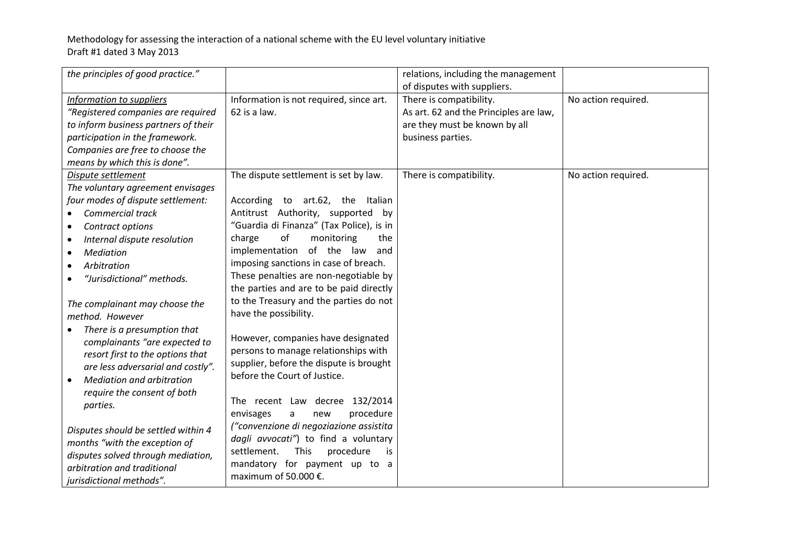| the principles of good practice."                                                                                                                                                                                                                                                                                                                                                                                                                                                                                                                                                                                                                                                                                                                                 |                                                                                                                                                                                                                                                                                                                                                                                                                                                                                                                                                                                                                                                                                                                                                                                                                                                                         | relations, including the management<br>of disputes with suppliers.                                                      |                     |
|-------------------------------------------------------------------------------------------------------------------------------------------------------------------------------------------------------------------------------------------------------------------------------------------------------------------------------------------------------------------------------------------------------------------------------------------------------------------------------------------------------------------------------------------------------------------------------------------------------------------------------------------------------------------------------------------------------------------------------------------------------------------|-------------------------------------------------------------------------------------------------------------------------------------------------------------------------------------------------------------------------------------------------------------------------------------------------------------------------------------------------------------------------------------------------------------------------------------------------------------------------------------------------------------------------------------------------------------------------------------------------------------------------------------------------------------------------------------------------------------------------------------------------------------------------------------------------------------------------------------------------------------------------|-------------------------------------------------------------------------------------------------------------------------|---------------------|
| Information to suppliers<br>"Registered companies are required<br>to inform business partners of their<br>participation in the framework.<br>Companies are free to choose the<br>means by which this is done".                                                                                                                                                                                                                                                                                                                                                                                                                                                                                                                                                    | Information is not required, since art.<br>62 is a law.                                                                                                                                                                                                                                                                                                                                                                                                                                                                                                                                                                                                                                                                                                                                                                                                                 | There is compatibility.<br>As art. 62 and the Principles are law,<br>are they must be known by all<br>business parties. | No action required. |
| Dispute settlement<br>The voluntary agreement envisages<br>four modes of dispute settlement:<br><b>Commercial track</b><br>Contract options<br>$\bullet$<br>Internal dispute resolution<br>$\bullet$<br><b>Mediation</b><br>$\bullet$<br>Arbitration<br>$\bullet$<br>"Jurisdictional" methods.<br>The complainant may choose the<br>method. However<br>There is a presumption that<br>complainants "are expected to<br>resort first to the options that<br>are less adversarial and costly".<br><b>Mediation and arbitration</b><br>$\bullet$<br>require the consent of both<br>parties.<br>Disputes should be settled within 4<br>months "with the exception of<br>disputes solved through mediation,<br>arbitration and traditional<br>jurisdictional methods". | The dispute settlement is set by law.<br>According to art.62, the Italian<br>Antitrust Authority, supported<br>by<br>"Guardia di Finanza" (Tax Police), is in<br>of<br>monitoring<br>charge<br>the<br>implementation of the<br>law<br>and<br>imposing sanctions in case of breach.<br>These penalties are non-negotiable by<br>the parties and are to be paid directly<br>to the Treasury and the parties do not<br>have the possibility.<br>However, companies have designated<br>persons to manage relationships with<br>supplier, before the dispute is brought<br>before the Court of Justice.<br>The recent Law decree 132/2014<br>procedure<br>envisages<br>new<br>a<br>("convenzione di negoziazione assistita<br>dagli avvocati") to find a voluntary<br>procedure<br>settlement.<br><b>This</b><br>is<br>mandatory for payment up to a<br>maximum of 50.000 €. | There is compatibility.                                                                                                 | No action required. |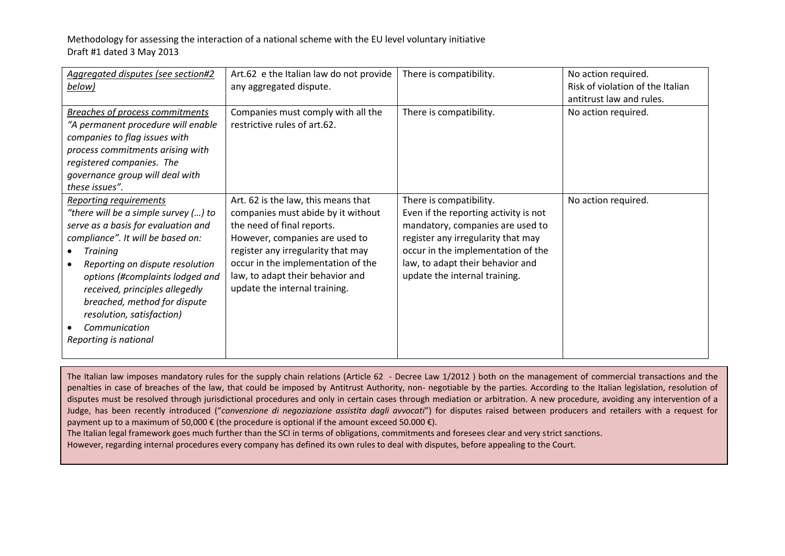| Aggregated disputes (see section#2<br>below)                                                                                                                                                                                                                                                                                                                                 | Art.62 e the Italian law do not provide<br>any aggregated dispute.                                                                                                                                                                                                                         | There is compatibility.                                                                                                                                                                                                                               | No action required.<br>Risk of violation of the Italian<br>antitrust law and rules. |
|------------------------------------------------------------------------------------------------------------------------------------------------------------------------------------------------------------------------------------------------------------------------------------------------------------------------------------------------------------------------------|--------------------------------------------------------------------------------------------------------------------------------------------------------------------------------------------------------------------------------------------------------------------------------------------|-------------------------------------------------------------------------------------------------------------------------------------------------------------------------------------------------------------------------------------------------------|-------------------------------------------------------------------------------------|
| <b>Breaches of process commitments</b><br>"A permanent procedure will enable<br>companies to flag issues with<br>process commitments arising with<br>registered companies. The<br>governance group will deal with<br>these issues".                                                                                                                                          | Companies must comply with all the<br>restrictive rules of art.62.                                                                                                                                                                                                                         | There is compatibility.                                                                                                                                                                                                                               | No action required.                                                                 |
| Reporting requirements<br>"there will be a simple survey () to<br>serve as a basis for evaluation and<br>compliance". It will be based on:<br><b>Training</b><br>Reporting on dispute resolution<br>options (#complaints lodged and<br>received, principles allegedly<br>breached, method for dispute<br>resolution, satisfaction)<br>Communication<br>Reporting is national | Art. 62 is the law, this means that<br>companies must abide by it without<br>the need of final reports.<br>However, companies are used to<br>register any irregularity that may<br>occur in the implementation of the<br>law, to adapt their behavior and<br>update the internal training. | There is compatibility.<br>Even if the reporting activity is not<br>mandatory, companies are used to<br>register any irregularity that may<br>occur in the implementation of the<br>law, to adapt their behavior and<br>update the internal training. | No action required.                                                                 |

The Italian law imposes mandatory rules for the supply chain relations (Article 62 - Decree Law 1/2012 ) both on the management of commercial transactions and the penalties in case of breaches of the law, that could be imposed by Antitrust Authority, non- negotiable by the parties. According to the Italian legislation, resolution of disputes must be resolved through jurisdictional procedures and only in certain cases through mediation or arbitration. A new procedure, avoiding any intervention of a Judge, has been recently introduced ("*convenzione di negoziazione assistita dagli avvocati*") for disputes raised between producers and retailers with a request for payment up to a maximum of 50,000  $\epsilon$  (the procedure is optional if the amount exceed 50.000  $\epsilon$ ).

The Italian legal framework goes much further than the SCI in terms of obligations, commitments and foresees clear and very strict sanctions.

However, regarding internal procedures every company has defined its own rules to deal with disputes, before appealing to the Court.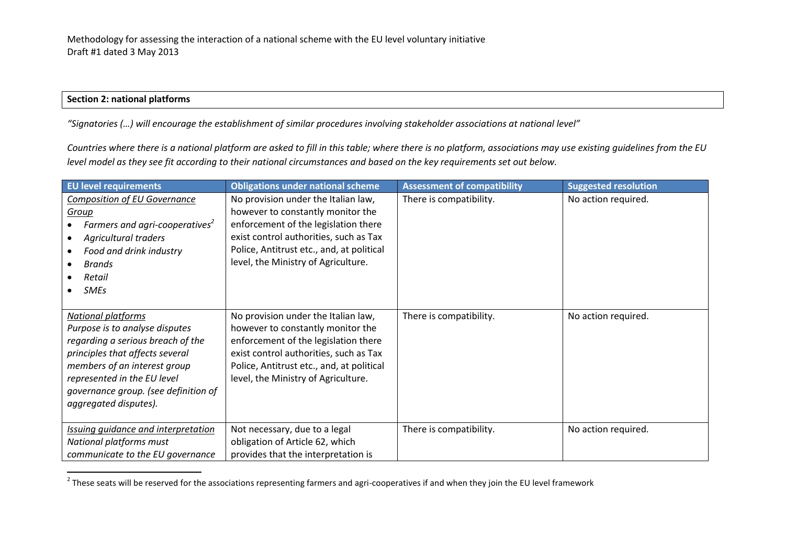## **Section 2: national platforms**

 $\overline{\phantom{a}}$ 

*"Signatories (…) will encourage the establishment of similar procedures involving stakeholder associations at national level"*

*Countries where there is a national platform are asked to fill in this table; where there is no platform, associations may use existing guidelines from the EU level model as they see fit according to their national circumstances and based on the key requirements set out below.* 

| <b>EU level requirements</b>                                                                                                                                                                                                                                        | <b>Obligations under national scheme</b>                                                                                                                                                                                                       | <b>Assessment of compatibility</b> | <b>Suggested resolution</b> |
|---------------------------------------------------------------------------------------------------------------------------------------------------------------------------------------------------------------------------------------------------------------------|------------------------------------------------------------------------------------------------------------------------------------------------------------------------------------------------------------------------------------------------|------------------------------------|-----------------------------|
| <b>Composition of EU Governance</b><br>Group<br>Farmers and agri-cooperatives <sup>2</sup><br><b>Agricultural traders</b><br>Food and drink industry<br><b>Brands</b><br>Retail<br><b>SMEs</b>                                                                      | No provision under the Italian law,<br>however to constantly monitor the<br>enforcement of the legislation there<br>exist control authorities, such as Tax<br>Police, Antitrust etc., and, at political<br>level, the Ministry of Agriculture. | There is compatibility.            | No action required.         |
| <b>National platforms</b><br>Purpose is to analyse disputes<br>regarding a serious breach of the<br>principles that affects several<br>members of an interest group<br>represented in the EU level<br>governance group. (see definition of<br>aggregated disputes). | No provision under the Italian law,<br>however to constantly monitor the<br>enforcement of the legislation there<br>exist control authorities, such as Tax<br>Police, Antitrust etc., and, at political<br>level, the Ministry of Agriculture. | There is compatibility.            | No action required.         |
| <b>Issuing guidance and interpretation</b><br>National platforms must<br>communicate to the EU governance                                                                                                                                                           | Not necessary, due to a legal<br>obligation of Article 62, which<br>provides that the interpretation is                                                                                                                                        | There is compatibility.            | No action required.         |

 $^2$  These seats will be reserved for the associations representing farmers and agri-cooperatives if and when they join the EU level framework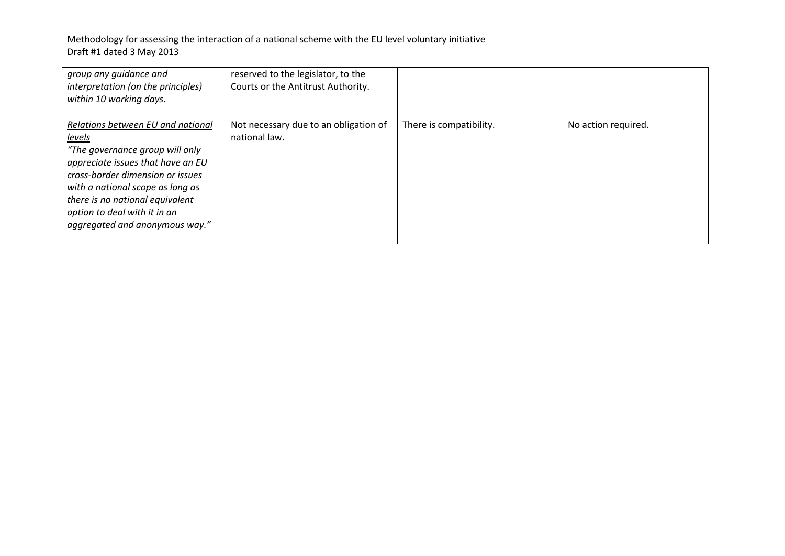| group any guidance and<br>interpretation (on the principles)<br>within 10 working days.                                                                                                                                                                                                                 | reserved to the legislator, to the<br>Courts or the Antitrust Authority. |                         |                     |
|---------------------------------------------------------------------------------------------------------------------------------------------------------------------------------------------------------------------------------------------------------------------------------------------------------|--------------------------------------------------------------------------|-------------------------|---------------------|
| Relations between EU and national<br><u>levels</u><br>"The governance group will only<br>appreciate issues that have an EU<br>cross-border dimension or issues<br>with a national scope as long as<br>there is no national equivalent<br>option to deal with it in an<br>aggregated and anonymous way." | Not necessary due to an obligation of<br>national law.                   | There is compatibility. | No action required. |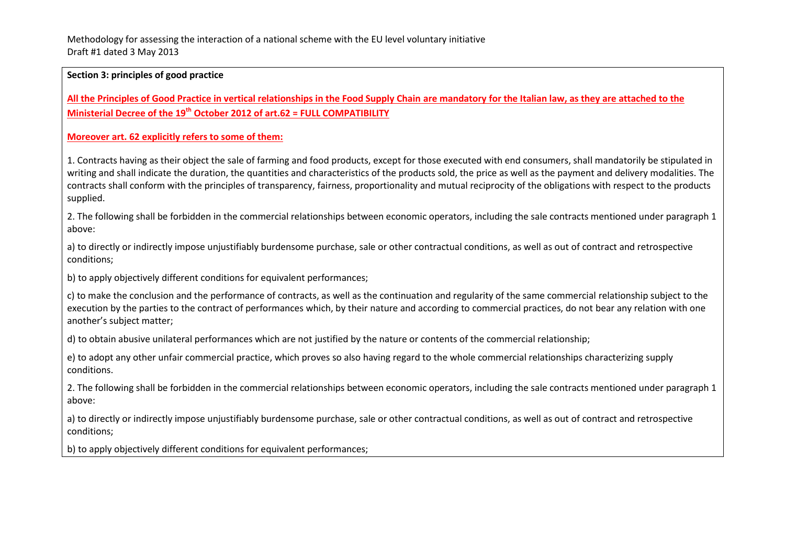#### **Section 3: principles of good practice**

**All the Principles of Good Practice in vertical relationships in the Food Supply Chain are mandatory for the Italian law, as they are attached to the Ministerial Decree of the 19th October 2012 of art.62 = FULL COMPATIBILITY**

#### **Moreover art. 62 explicitly refers to some of them:**

1. Contracts having as their object the sale of farming and food products, except for those executed with end consumers, shall mandatorily be stipulated in writing and shall indicate the duration, the quantities and characteristics of the products sold, the price as well as the payment and delivery modalities. The contracts shall conform with the principles of transparency, fairness, proportionality and mutual reciprocity of the obligations with respect to the products supplied.

2. The following shall be forbidden in the commercial relationships between economic operators, including the sale contracts mentioned under paragraph 1 above:

a) to directly or indirectly impose unjustifiably burdensome purchase, sale or other contractual conditions, as well as out of contract and retrospective conditions;

b) to apply objectively different conditions for equivalent performances;

c) to make the conclusion and the performance of contracts, as well as the continuation and regularity of the same commercial relationship subject to the execution by the parties to the contract of performances which, by their nature and according to commercial practices, do not bear any relation with one another's subject matter;

d) to obtain abusive unilateral performances which are not justified by the nature or contents of the commercial relationship;

e) to adopt any other unfair commercial practice, which proves so also having regard to the whole commercial relationships characterizing supply conditions.

2. The following shall be forbidden in the commercial relationships between economic operators, including the sale contracts mentioned under paragraph 1 above:

a) to directly or indirectly impose unjustifiably burdensome purchase, sale or other contractual conditions, as well as out of contract and retrospective conditions;

b) to apply objectively different conditions for equivalent performances;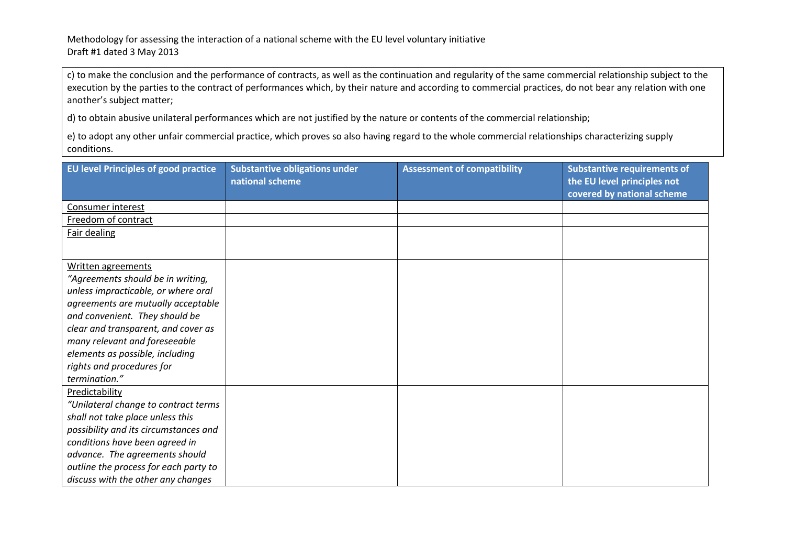c) to make the conclusion and the performance of contracts, as well as the continuation and regularity of the same commercial relationship subject to the execution by the parties to the contract of performances which, by their nature and according to commercial practices, do not bear any relation with one another's subject matter;

d) to obtain abusive unilateral performances which are not justified by the nature or contents of the commercial relationship;

e) to adopt any other unfair commercial practice, which proves so also having regard to the whole commercial relationships characterizing supply conditions.

| <b>EU level Principles of good practice</b> | <b>Substantive obligations under</b><br>national scheme | <b>Assessment of compatibility</b> | <b>Substantive requirements of</b><br>the EU level principles not<br>covered by national scheme |
|---------------------------------------------|---------------------------------------------------------|------------------------------------|-------------------------------------------------------------------------------------------------|
| Consumer interest                           |                                                         |                                    |                                                                                                 |
| Freedom of contract                         |                                                         |                                    |                                                                                                 |
| <b>Fair dealing</b>                         |                                                         |                                    |                                                                                                 |
|                                             |                                                         |                                    |                                                                                                 |
| Written agreements                          |                                                         |                                    |                                                                                                 |
| "Agreements should be in writing,           |                                                         |                                    |                                                                                                 |
| unless impracticable, or where oral         |                                                         |                                    |                                                                                                 |
| agreements are mutually acceptable          |                                                         |                                    |                                                                                                 |
| and convenient. They should be              |                                                         |                                    |                                                                                                 |
| clear and transparent, and cover as         |                                                         |                                    |                                                                                                 |
| many relevant and foreseeable               |                                                         |                                    |                                                                                                 |
| elements as possible, including             |                                                         |                                    |                                                                                                 |
| rights and procedures for                   |                                                         |                                    |                                                                                                 |
| termination."                               |                                                         |                                    |                                                                                                 |
| Predictability                              |                                                         |                                    |                                                                                                 |
| "Unilateral change to contract terms        |                                                         |                                    |                                                                                                 |
| shall not take place unless this            |                                                         |                                    |                                                                                                 |
| possibility and its circumstances and       |                                                         |                                    |                                                                                                 |
| conditions have been agreed in              |                                                         |                                    |                                                                                                 |
| advance. The agreements should              |                                                         |                                    |                                                                                                 |
| outline the process for each party to       |                                                         |                                    |                                                                                                 |
| discuss with the other any changes          |                                                         |                                    |                                                                                                 |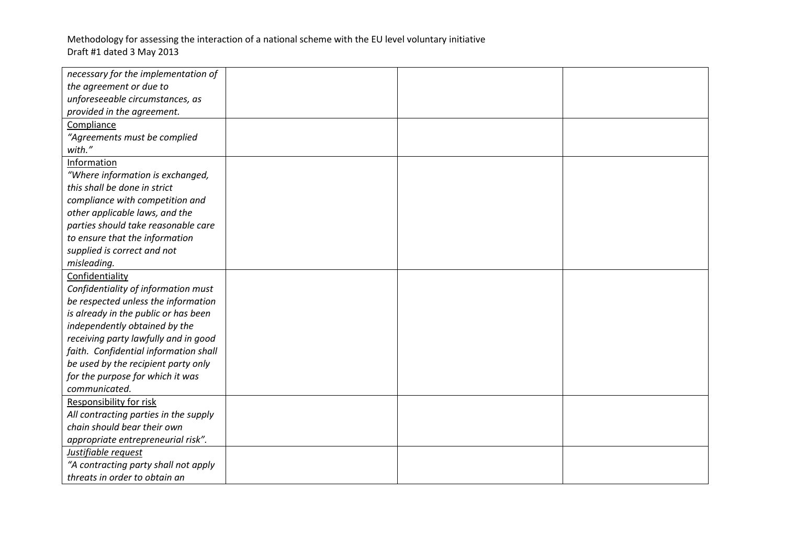| necessary for the implementation of   |  |  |
|---------------------------------------|--|--|
| the agreement or due to               |  |  |
| unforeseeable circumstances, as       |  |  |
| provided in the agreement.            |  |  |
| Compliance                            |  |  |
| "Agreements must be complied          |  |  |
| with."                                |  |  |
| Information                           |  |  |
| "Where information is exchanged,      |  |  |
| this shall be done in strict          |  |  |
| compliance with competition and       |  |  |
| other applicable laws, and the        |  |  |
| parties should take reasonable care   |  |  |
| to ensure that the information        |  |  |
| supplied is correct and not           |  |  |
| misleading.                           |  |  |
| Confidentiality                       |  |  |
| Confidentiality of information must   |  |  |
| be respected unless the information   |  |  |
| is already in the public or has been  |  |  |
| independently obtained by the         |  |  |
| receiving party lawfully and in good  |  |  |
| faith. Confidential information shall |  |  |
| be used by the recipient party only   |  |  |
| for the purpose for which it was      |  |  |
| communicated.                         |  |  |
| Responsibility for risk               |  |  |
| All contracting parties in the supply |  |  |
| chain should bear their own           |  |  |
| appropriate entrepreneurial risk".    |  |  |
| Justifiable request                   |  |  |
| "A contracting party shall not apply  |  |  |
| threats in order to obtain an         |  |  |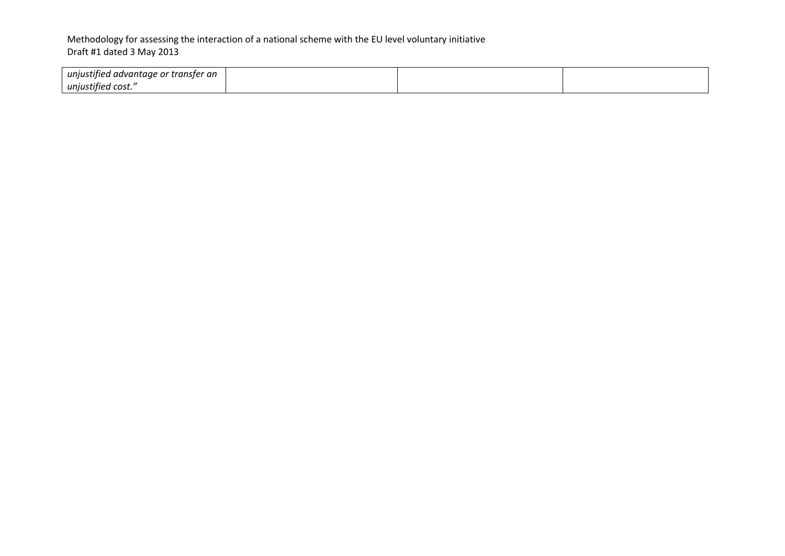| unjustified advantage or transfer an |  |  |
|--------------------------------------|--|--|
| unjustified cost."                   |  |  |